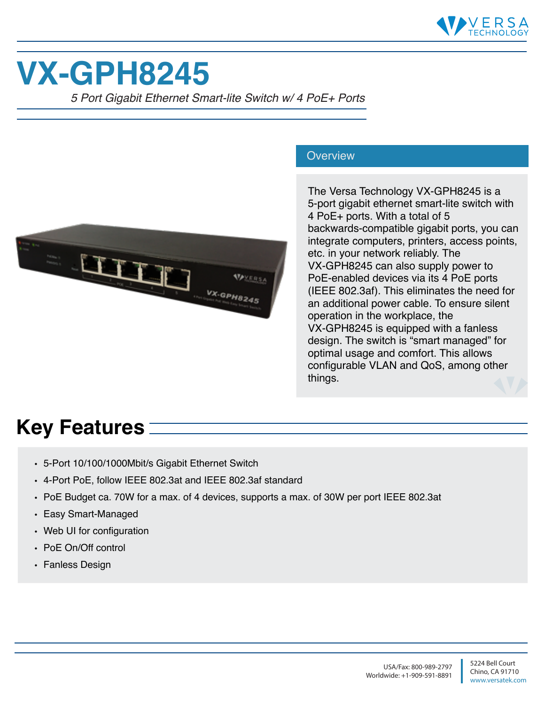

## **VX-GPH8245**

*5 Port Gigabit Ethernet Smart-lite Switch w/ 4 PoE+ Ports*



## **Overview**

The Versa Technology VX-GPH8245 is a 5-port gigabit ethernet smart-lite switch with 4 PoE+ ports. With a total of 5 backwards-compatible gigabit ports, you can integrate computers, printers, access points, etc. in your network reliably. The VX-GPH8245 can also supply power to PoE-enabled devices via its 4 PoE ports (IEEE 802.3af). This eliminates the need for an additional power cable. To ensure silent operation in the workplace, the VX-GPH8245 is equipped with a fanless design. The switch is "smart managed" for optimal usage and comfort. This allows configurable VLAN and QoS, among other things.

## **Key Features**

- 5-Port 10/100/1000Mbit/s Gigabit Ethernet Switch
- 4-Port PoE, follow IEEE 802.3at and IEEE 802.3af standard
- PoE Budget ca. 70W for a max. of 4 devices, supports a max. of 30W per port IEEE 802.3at
- Easy Smart-Managed
- Web UI for configuration
- PoE On/Off control
- Fanless Design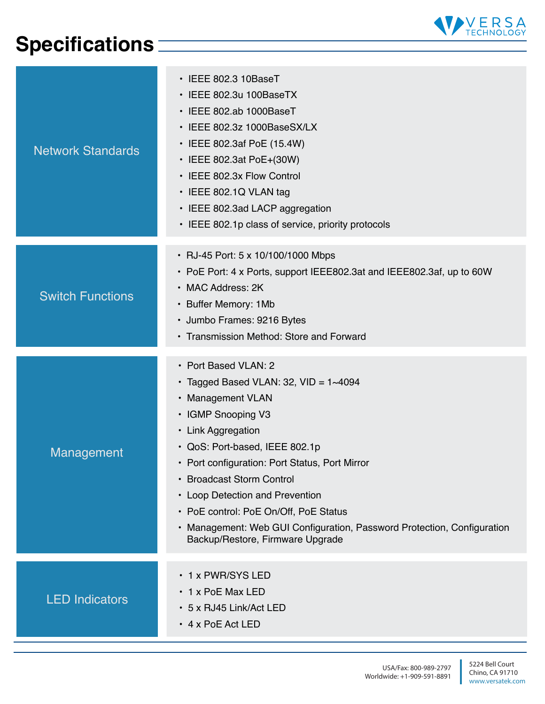## **Specifications**



| <b>Network Standards</b> | $\cdot$ IEEE 802.3 10BaseT<br>· IEEE 802.3u 100BaseTX<br>· IEEE 802.ab 1000BaseT<br>• IEEE 802.3z 1000BaseSX/LX<br>• IEEE 802.3af PoE (15.4W)<br>• IEEE 802.3at PoE+(30W)<br>• IEEE 802.3x Flow Control<br>• IEEE 802.1Q VLAN tag<br>• IEEE 802.3ad LACP aggregation<br>• IEEE 802.1p class of service, priority protocols                                                                                                                        |
|--------------------------|---------------------------------------------------------------------------------------------------------------------------------------------------------------------------------------------------------------------------------------------------------------------------------------------------------------------------------------------------------------------------------------------------------------------------------------------------|
| <b>Switch Functions</b>  | • RJ-45 Port: 5 x 10/100/1000 Mbps<br>• PoE Port: 4 x Ports, support IEEE802.3at and IEEE802.3af, up to 60W<br>• MAC Address: 2K<br>• Buffer Memory: 1Mb<br>• Jumbo Frames: 9216 Bytes<br>• Transmission Method: Store and Forward                                                                                                                                                                                                                |
| Management               | • Port Based VLAN: 2<br>• Tagged Based VLAN: 32, VID = $1 \sim 4094$<br>• Management VLAN<br>• IGMP Snooping V3<br>• Link Aggregation<br>• QoS: Port-based, IEEE 802.1p<br>• Port configuration: Port Status, Port Mirror<br>• Broadcast Storm Control<br>• Loop Detection and Prevention<br>• PoE control: PoE On/Off, PoE Status<br>• Management: Web GUI Configuration, Password Protection, Configuration<br>Backup/Restore, Firmware Upgrade |
| <b>LED Indicators</b>    | • 1 x PWR/SYS LED<br>• 1 x PoE Max LED<br>• 5 x RJ45 Link/Act LED<br>$\cdot$ 4 x PoE Act LED                                                                                                                                                                                                                                                                                                                                                      |